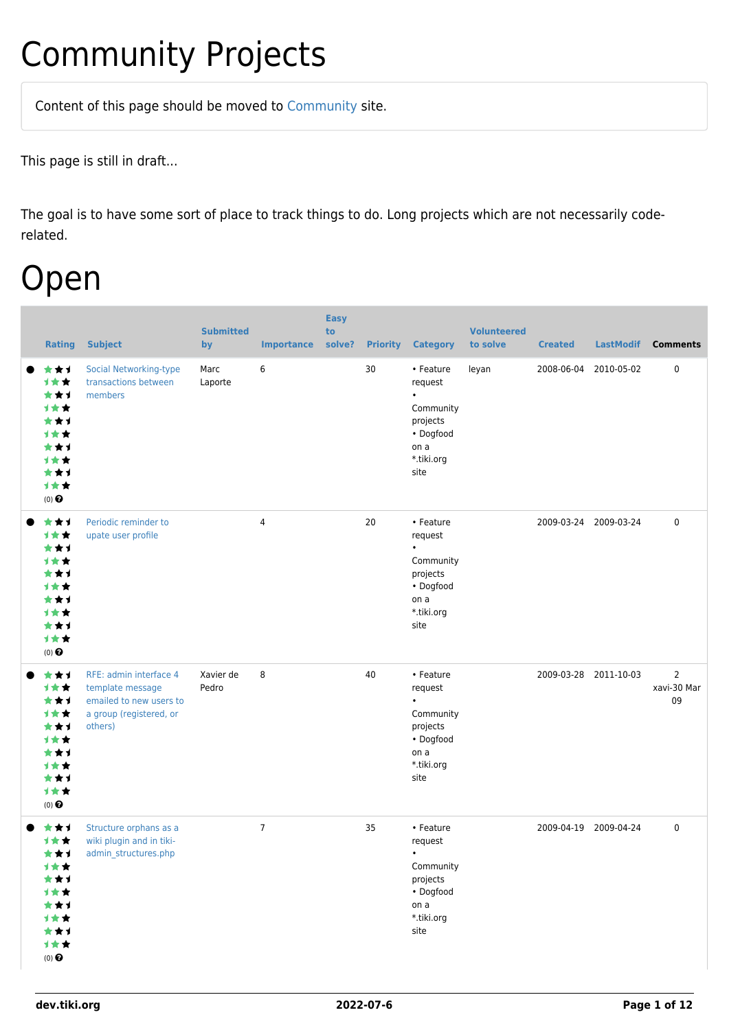## Community Projects

Content of this page should be [moved](https://dev.tiki.org/tiki-editpage.php?page=moved) to [Community](http://tiki.org/Community) site.

This page is still in draft...

The goal is to have some sort of place to track things to do. Long projects which are not necessarily coderelated.

### Open

| <b>Rating</b>                                                                                                           | <b>Subject</b>                                                                                              | <b>Submitted</b><br>by | <b>Importance</b> | <b>Easy</b><br>to<br>solve? | <b>Priority</b> | <b>Category</b>                                                                                       | <b>Volunteered</b><br>to solve | <b>Created</b> | <b>LastModif</b>      | <b>Comments</b>                     |
|-------------------------------------------------------------------------------------------------------------------------|-------------------------------------------------------------------------------------------------------------|------------------------|-------------------|-----------------------------|-----------------|-------------------------------------------------------------------------------------------------------|--------------------------------|----------------|-----------------------|-------------------------------------|
| ★★1<br>1★★<br>***<br><b>1**</b><br>***<br>计女女<br>***<br><b>1**</b><br>***<br>1★★<br>$(0)$ <sup><math>\odot</math></sup> | <b>Social Networking-type</b><br>transactions between<br>members                                            | Marc<br>Laporte        | 6                 |                             | 30              | • Feature<br>request<br>$\bullet$<br>Community<br>projects<br>• Dogfood<br>on a<br>*.tiki.org<br>site | leyan                          | 2008-06-04     | 2010-05-02            | $\pmb{0}$                           |
| ***<br>1★★<br>***<br>计女女<br>***<br><b>1**</b><br>***<br><b>1**</b><br>***<br>计女女<br>$(0)$ $\odot$                       | Periodic reminder to<br>upate user profile                                                                  |                        | 4                 |                             | 20              | • Feature<br>request<br>$\bullet$<br>Community<br>projects<br>• Dogfood<br>on a<br>*.tiki.org<br>site |                                | 2009-03-24     | 2009-03-24            | $\mathbf 0$                         |
| ★★1<br>1★★<br>***<br>1★★<br>***<br>1★★<br>***<br>计女女<br>***<br>计女女<br>$(0)$ $\odot$                                     | RFE: admin interface 4<br>template message<br>emailed to new users to<br>a group (registered, or<br>others) | Xavier de<br>Pedro     | 8                 |                             | 40              | • Feature<br>request<br>Community<br>projects<br>• Dogfood<br>on a<br>*.tiki.org<br>site              |                                |                | 2009-03-28 2011-10-03 | $\overline{2}$<br>xavi-30 Mar<br>09 |
| ***<br>1★★<br>***<br>计女女<br>***<br>1★★<br>***<br>计女女<br>***<br>计女女<br>(0) $\pmb{\Theta}$                                | Structure orphans as a<br>wiki plugin and in tiki-<br>admin_structures.php                                  |                        | $\overline{7}$    |                             | 35              | • Feature<br>request<br>$\bullet$<br>Community<br>projects<br>• Dogfood<br>on a<br>*.tiki.org<br>site |                                |                | 2009-04-19 2009-04-24 | $\mathbf 0$                         |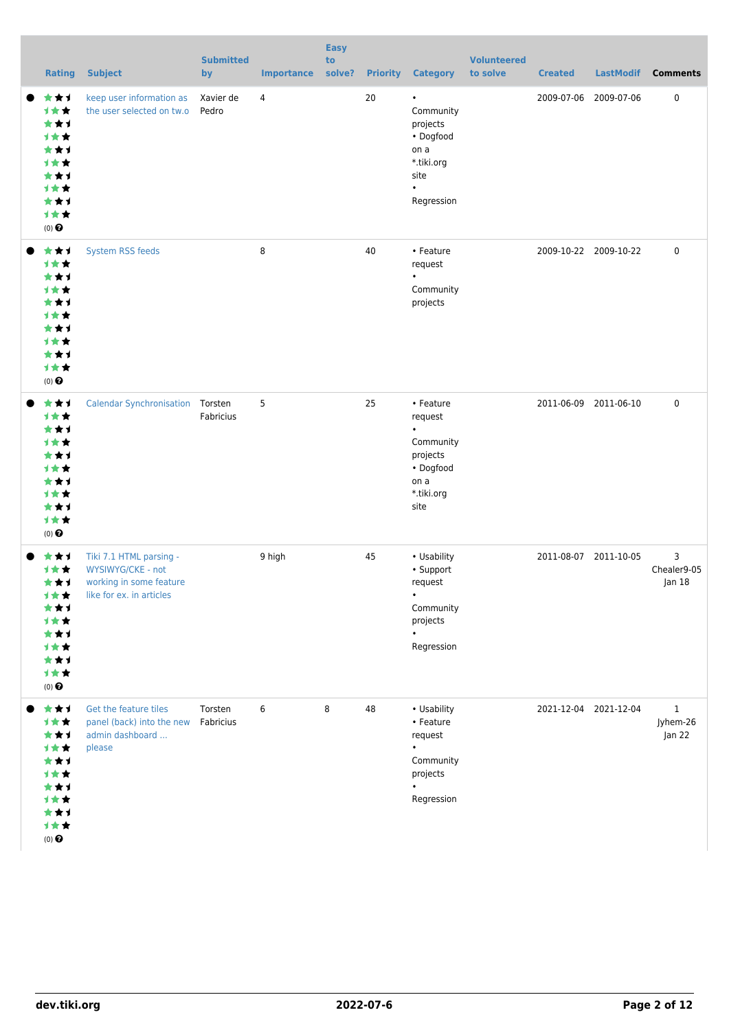| <b>Rating</b>                                                                                                     | <b>Subject</b>                                                                                      | <b>Submitted</b><br>by | <b>Importance</b> | <b>Easy</b><br>to<br>solve? | <b>Priority</b> | <b>Category</b>                                                                                          | <b>Volunteered</b><br>to solve | <b>Created</b> | <b>LastModif</b>      | <b>Comments</b>                    |
|-------------------------------------------------------------------------------------------------------------------|-----------------------------------------------------------------------------------------------------|------------------------|-------------------|-----------------------------|-----------------|----------------------------------------------------------------------------------------------------------|--------------------------------|----------------|-----------------------|------------------------------------|
| ***<br><b>1**</b><br>★★1<br><b>1**</b><br>***<br>十大<br>***<br><b>1**</b><br>***<br><b>1**</b><br>$(0)$ $\bigodot$ | keep user information as<br>the user selected on tw.o                                               | Xavier de<br>Pedro     | $\overline{4}$    |                             | 20              | $\bullet$<br>Community<br>projects<br>• Dogfood<br>on a<br>*.tiki.org<br>site<br>$\bullet$<br>Regression |                                | 2009-07-06     | 2009-07-06            | $\pmb{0}$                          |
| ***<br><b>1**</b><br>★★1<br><b>1**</b><br>***<br>1 * *<br>***<br><b>1**</b><br>***<br>计女女<br>$(0)$ $\bigodot$     | System RSS feeds                                                                                    |                        | 8                 |                             | 40              | • Feature<br>request<br>$\bullet$<br>Community<br>projects                                               |                                |                | 2009-10-22 2009-10-22 | $\pmb{0}$                          |
| ★★1<br>计女女<br>***<br><b>1**</b><br>***<br><b>1**</b><br>***<br><b>1**</b><br>***<br>计女女<br>$(0)$ $\bigodot$       | <b>Calendar Synchronisation Torsten</b>                                                             | Fabricius              | 5                 |                             | 25              | • Feature<br>request<br>$\bullet$<br>Community<br>projects<br>• Dogfood<br>on a<br>*.tiki.org<br>site    |                                |                | 2011-06-09 2011-06-10 | $\mathbf 0$                        |
| ***<br>计女女<br>***<br>计女女<br>***<br>计女女<br>***<br><b>1★★</b><br>***<br>计女女<br>$(0)$ $\pmb{\Theta}$                 | Tiki 7.1 HTML parsing -<br>WYSIWYG/CKE - not<br>working in some feature<br>like for ex. in articles |                        | 9 high            |                             | 45              | • Usability<br>• Support<br>request<br>$\bullet$<br>Community<br>projects<br>$\bullet$<br>Regression     |                                |                | 2011-08-07 2011-10-05 | 3<br>Chealer9-05<br>Jan $18$       |
| ***<br>计女女<br>***<br>计女女<br>***<br>计女女<br>***<br><b>1**</b><br>***<br>计女女<br>$(0)$ $\pmb{\Theta}$                 | Get the feature tiles<br>panel (back) into the new<br>admin dashboard<br>please                     | Torsten<br>Fabricius   | 6                 | 8                           | 48              | • Usability<br>• Feature<br>request<br>$\bullet$<br>Community<br>projects<br>Regression                  |                                |                | 2021-12-04 2021-12-04 | $\mathbf{1}$<br>Jyhem-26<br>Jan 22 |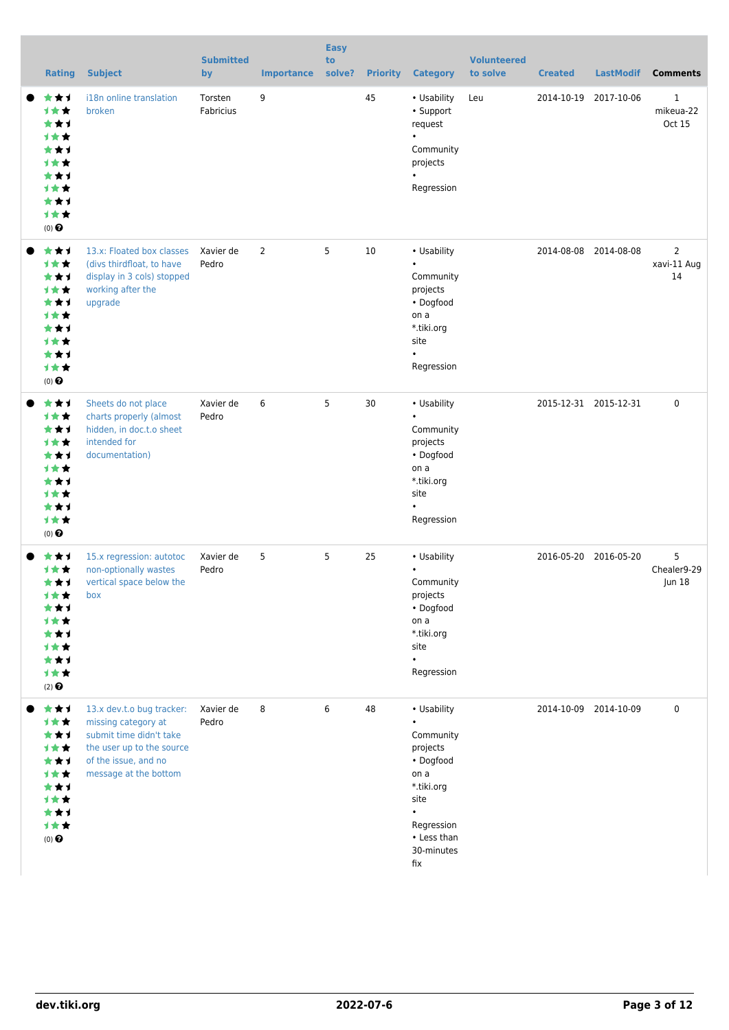| <b>Rating</b>                                                                                                   | <b>Subject</b>                                                                                                                                            | <b>Submitted</b><br>by | <b>Importance</b> | <b>Easy</b><br>to<br>solve? |    | <b>Priority Category</b>                                                                                                                                    | <b>Volunteered</b><br>to solve | <b>Created</b>        | <b>LastModif</b> | <b>Comments</b>                     |
|-----------------------------------------------------------------------------------------------------------------|-----------------------------------------------------------------------------------------------------------------------------------------------------------|------------------------|-------------------|-----------------------------|----|-------------------------------------------------------------------------------------------------------------------------------------------------------------|--------------------------------|-----------------------|------------------|-------------------------------------|
| ***<br><b>1**</b><br>***<br><b>1**</b><br>***<br><b>1**</b><br>***<br><b>1**</b><br>***<br>计女女<br>$(0)$ $\odot$ | i18n online translation<br>broken                                                                                                                         | Torsten<br>Fabricius   | 9                 |                             | 45 | • Usability<br>• Support<br>request<br>$\bullet$<br>Community<br>projects<br>$\bullet$<br>Regression                                                        | Leu                            | 2014-10-19            | 2017-10-06       | $\mathbf{1}$<br>mikeua-22<br>Oct 15 |
| ***<br>1★★<br>***<br>计女女<br>***<br>计女女<br>***<br>计女女<br>***<br>计女女<br>$(0)$ $\odot$                             | 13.x: Floated box classes<br>(divs thirdfloat, to have<br>display in 3 cols) stopped<br>working after the<br>upgrade                                      | Xavier de<br>Pedro     | $\overline{2}$    | 5                           | 10 | • Usability<br>Community<br>projects<br>• Dogfood<br>on a<br>*.tiki.org<br>site<br>Regression                                                               |                                | 2014-08-08 2014-08-08 |                  | 2<br>xavi-11 Aug<br>14              |
| ***<br>计女女<br>***<br>计女女<br>★★1<br><b>1**</b><br>★★1<br><b>1**</b><br>***<br>计女女<br>$(0)$ $\odot$               | Sheets do not place<br>charts properly (almost<br>hidden, in doc.t.o sheet<br>intended for<br>documentation)                                              | Xavier de<br>Pedro     | 6                 | 5                           | 30 | • Usability<br>$\bullet$<br>Community<br>projects<br>• Dogfood<br>on a<br>*.tiki.org<br>site<br>$\bullet$<br>Regression                                     |                                | 2015-12-31 2015-12-31 |                  | 0                                   |
| ***<br>1★★<br>***<br><b>1★★</b><br>***<br><b>1★★</b><br>***<br>计女女<br>***<br>计女女<br>$(2)$ $\odot$               | 15.x regression: autotoc<br>non-optionally wastes<br>vertical space below the<br>box                                                                      | Xavier de<br>Pedro     | 5                 | 5                           | 25 | • Usability<br>$\bullet$<br>Community<br>projects<br>• Dogfood<br>on a<br>*.tiki.org<br>site<br>Regression                                                  |                                | 2016-05-20 2016-05-20 |                  | 5<br>Chealer9-29<br>Jun 18          |
| ***<br>计女女<br>***<br>计女女<br>★★1<br>计女女<br>***<br>计女女<br>***<br>计女女<br>$(0)$ $\odot$                             | 13.x dev.t.o bug tracker:<br>missing category at<br>submit time didn't take<br>the user up to the source<br>of the issue, and no<br>message at the bottom | Xavier de<br>Pedro     | 8                 | 6                           | 48 | • Usability<br>$\bullet$<br>Community<br>projects<br>• Dogfood<br>on a<br>*.tiki.org<br>site<br>$\bullet$<br>Regression<br>• Less than<br>30-minutes<br>fix |                                | 2014-10-09 2014-10-09 |                  | 0                                   |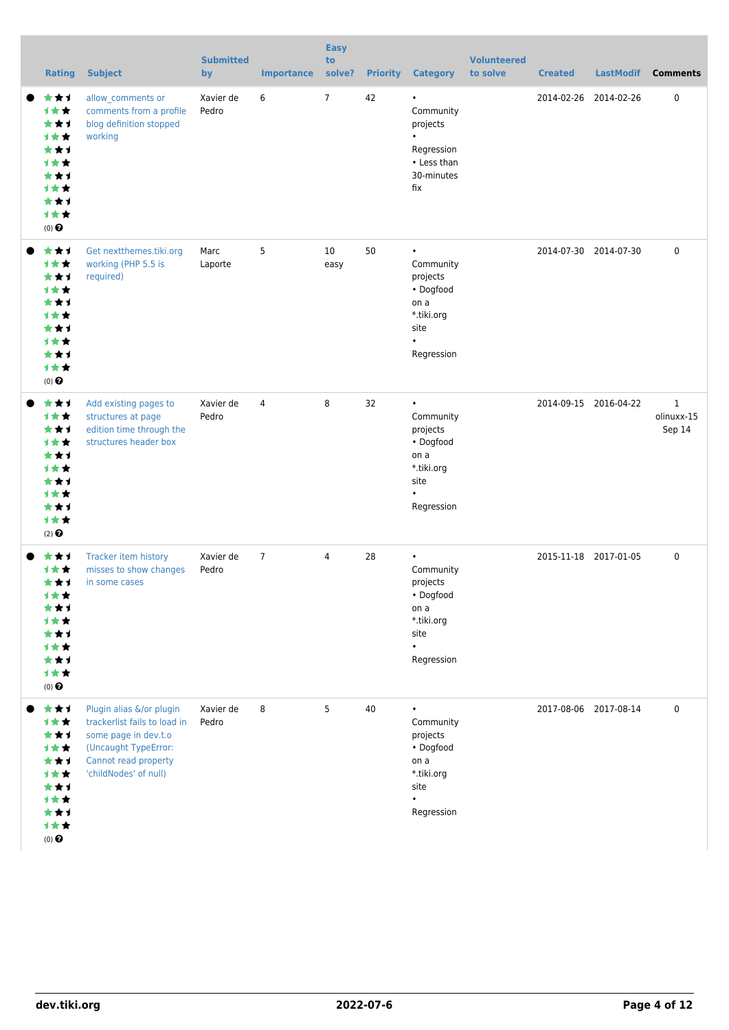| <b>Rating</b>                                                                                                          | <b>Subject</b>                                                                                                                                            | <b>Submitted</b><br>by | <b>Importance</b> | <b>Easy</b><br>to<br>solve? | <b>Priority</b> | <b>Category</b>                                                                                          | <b>Volunteered</b><br>to solve | <b>Created</b> | <b>LastModif</b>      | <b>Comments</b>                      |
|------------------------------------------------------------------------------------------------------------------------|-----------------------------------------------------------------------------------------------------------------------------------------------------------|------------------------|-------------------|-----------------------------|-----------------|----------------------------------------------------------------------------------------------------------|--------------------------------|----------------|-----------------------|--------------------------------------|
| ★★1<br>1★★<br>***<br><b>1**</b><br>***<br>1 <del>*</del> *<br>***<br><b>1**</b><br>***<br><b>1**</b><br>$(0)$ $\Theta$ | allow_comments or<br>comments from a profile<br>blog definition stopped<br>working                                                                        | Xavier de<br>Pedro     | 6                 | $\overline{7}$              | 42              | $\bullet$<br>Community<br>projects<br>Regression<br>• Less than<br>30-minutes<br>fix                     |                                |                | 2014-02-26 2014-02-26 | $\pmb{0}$                            |
| ★★1<br>1★★<br>***<br><b>1**</b><br>**1<br><b>1**</b><br>***<br><b>1**</b><br>***<br>1★★<br>$(0)$ $\odot$               | Get nextthemes.tiki.org<br>working (PHP 5.5 is<br>required)                                                                                               | Marc<br>Laporte        | 5                 | 10<br>easy                  | 50              | Community<br>projects<br>• Dogfood<br>on a<br>*.tiki.org<br>site<br>$\bullet$<br>Regression              |                                |                | 2014-07-30 2014-07-30 | $\mathbf 0$                          |
| ***<br>计女女<br>***<br><b>1**</b><br>***<br><b>1**</b><br>***<br><b>1**</b><br>***<br><b>1**</b><br>$(2)$ $\odot$        | Add existing pages to<br>structures at page<br>edition time through the<br>structures header box                                                          | Xavier de<br>Pedro     | 4                 | 8                           | 32              | $\bullet$<br>Community<br>projects<br>• Dogfood<br>on a<br>*.tiki.org<br>site<br>$\bullet$<br>Regression |                                |                | 2014-09-15 2016-04-22 | $\mathbf{1}$<br>olinuxx-15<br>Sep 14 |
| ***<br>1★★<br>***<br>1★★<br>1 <del>*</del> *<br>★★1<br><b>1 * *</b><br>***<br>计女女<br>$(0)$ $\bigodot$                  | Tracker item history<br>misses to show changes<br>in some cases                                                                                           | Xavier de<br>Pedro     | $\overline{7}$    | 4                           | 28              | $\bullet$<br>Community<br>projects<br>• Dogfood<br>on a<br>*.tiki.org<br>site<br>$\bullet$<br>Regression |                                |                | 2015-11-18 2017-01-05 | $\mathbf 0$                          |
| ***<br>***<br>***<br>计女女<br>***<br>计女女<br>★★1<br><b>1★★</b><br>***<br>计女女<br>$(0)$ $\Theta$                            | Plugin alias &/or plugin<br>trackerlist fails to load in<br>some page in dev.t.o<br>(Uncaught TypeError:<br>Cannot read property<br>'childNodes' of null) | Xavier de<br>Pedro     | 8                 | 5                           | 40              | $\bullet$<br>Community<br>projects<br>• Dogfood<br>on a<br>*.tiki.org<br>site<br>$\bullet$<br>Regression |                                |                | 2017-08-06 2017-08-14 | $\mathbf 0$                          |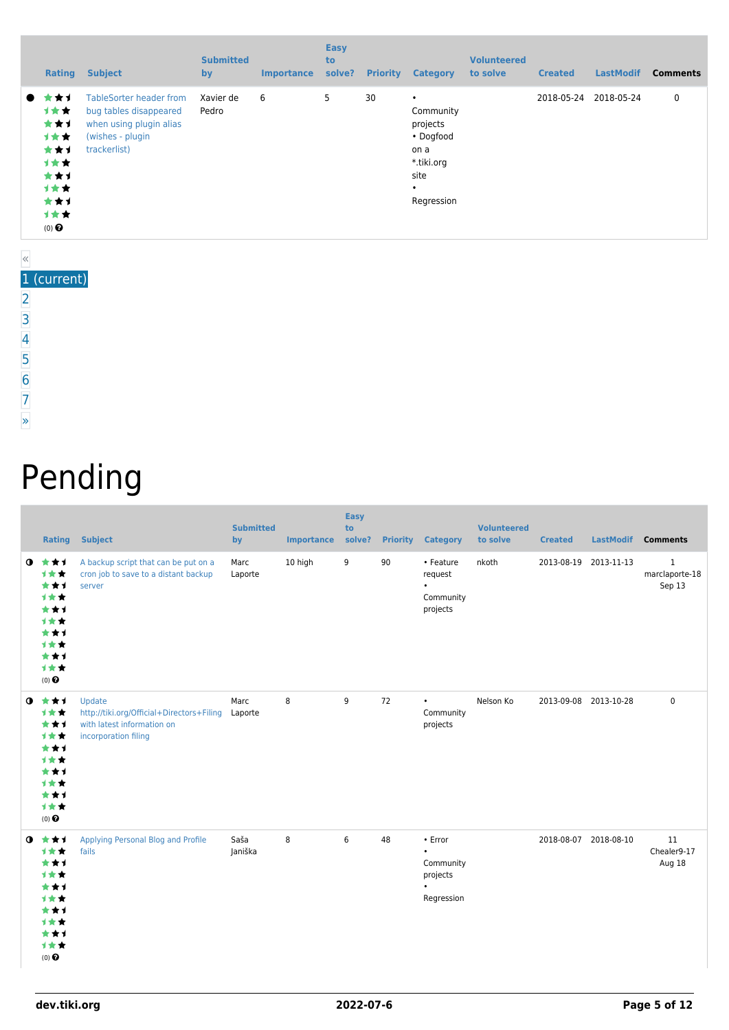|           | <b>Rating</b>                                                                       | <b>Subject</b>                                                                                                          | <b>Submitted</b><br>by | <b>Importance</b> | <b>Easy</b><br>to<br>solve? | <b>Priority</b> | <b>Category</b>                                                                                          | <b>Volunteered</b><br>to solve | <b>Created</b> | <b>LastModif</b> | <b>Comments</b> |
|-----------|-------------------------------------------------------------------------------------|-------------------------------------------------------------------------------------------------------------------------|------------------------|-------------------|-----------------------------|-----------------|----------------------------------------------------------------------------------------------------------|--------------------------------|----------------|------------------|-----------------|
| $\bullet$ | r★⊀<br>计女女<br>***<br>1★★<br>***<br>计女女<br>***<br>计女女<br>***<br>计女女<br>$(0)$ $\odot$ | <b>TableSorter header from</b><br>bug tables disappeared<br>when using plugin alias<br>(wishes - plugin<br>trackerlist) | Xavier de<br>Pedro     | 6                 | 5                           | 30              | $\bullet$<br>Community<br>projects<br>• Dogfood<br>on a<br>*.tiki.org<br>site<br>$\bullet$<br>Regression |                                | 2018-05-24     | 2018-05-24       | $\mathbf 0$     |

#### « 1 (current) [2](https://dev.tiki.org/tiki-print.php?tr_sort_mode1=f_43_asc&page=Community+Projects&tr_offset1=20)

- [3](https://dev.tiki.org/tiki-print.php?tr_sort_mode1=f_43_asc&page=Community+Projects&tr_offset1=40)
- [4](https://dev.tiki.org/tiki-print.php?tr_sort_mode1=f_43_asc&page=Community+Projects&tr_offset1=60)
- [5](https://dev.tiki.org/tiki-print.php?tr_sort_mode1=f_43_asc&page=Community+Projects&tr_offset1=80)
- 
- [6](https://dev.tiki.org/tiki-print.php?tr_sort_mode1=f_43_asc&page=Community+Projects&tr_offset1=100)
- [7](https://dev.tiki.org/tiki-print.php?tr_sort_mode1=f_43_asc&page=Community+Projects&tr_offset1=120)
- [»](https://dev.tiki.org/tiki-print.php?tr_sort_mode1=f_43_asc&page=Community+Projects&tr_offset1=20)

# Pending

|             | <b>Rating</b>                                                                       | <b>Subject</b>                                                                                            | <b>Submitted</b><br>by | <b>Importance</b> | <b>Easy</b><br>to<br>solve? |    | <b>Priority Category</b>                                                 | <b>Volunteered</b><br>to solve | <b>Created</b>        | <b>LastModif</b> | <b>Comments</b>                          |
|-------------|-------------------------------------------------------------------------------------|-----------------------------------------------------------------------------------------------------------|------------------------|-------------------|-----------------------------|----|--------------------------------------------------------------------------|--------------------------------|-----------------------|------------------|------------------------------------------|
| $\mathbf o$ | ***<br>1★★<br>***<br>***<br>***<br>1★★<br>***<br>1★★<br>***<br>1★★<br>$(0)$ $\odot$ | A backup script that can be put on a<br>cron job to save to a distant backup<br>server                    | Marc<br>Laporte        | 10 high           | 9                           | 90 | • Feature<br>request<br>$\bullet$<br>Community<br>projects               | nkoth                          | 2013-08-19 2013-11-13 |                  | $\mathbf{1}$<br>marclaporte-18<br>Sep 13 |
| $\bullet$   | ***<br>1★★<br>***<br>1★★<br>***<br>1★★<br>***<br>1★★<br>***<br>1★★<br>$(0)$ $\odot$ | Update<br>http://tiki.org/Official+Directors+Filing<br>with latest information on<br>incorporation filing | Marc<br>Laporte        | 8                 | 9                           | 72 | $\bullet$<br>Community<br>projects                                       | Nelson Ko                      | 2013-09-08 2013-10-28 |                  | $\mathbf 0$                              |
| $\bullet$   | ***<br>1★★<br>***<br>***<br>***<br>1★★<br>***<br>***<br>***<br>***<br>$(0)$ $\odot$ | Applying Personal Blog and Profile<br>fails                                                               | Saša<br>Janiška        | 8                 | 6                           | 48 | • Error<br>$\bullet$<br>Community<br>projects<br>$\bullet$<br>Regression |                                | 2018-08-07 2018-08-10 |                  | 11<br>Chealer9-17<br>Aug 18              |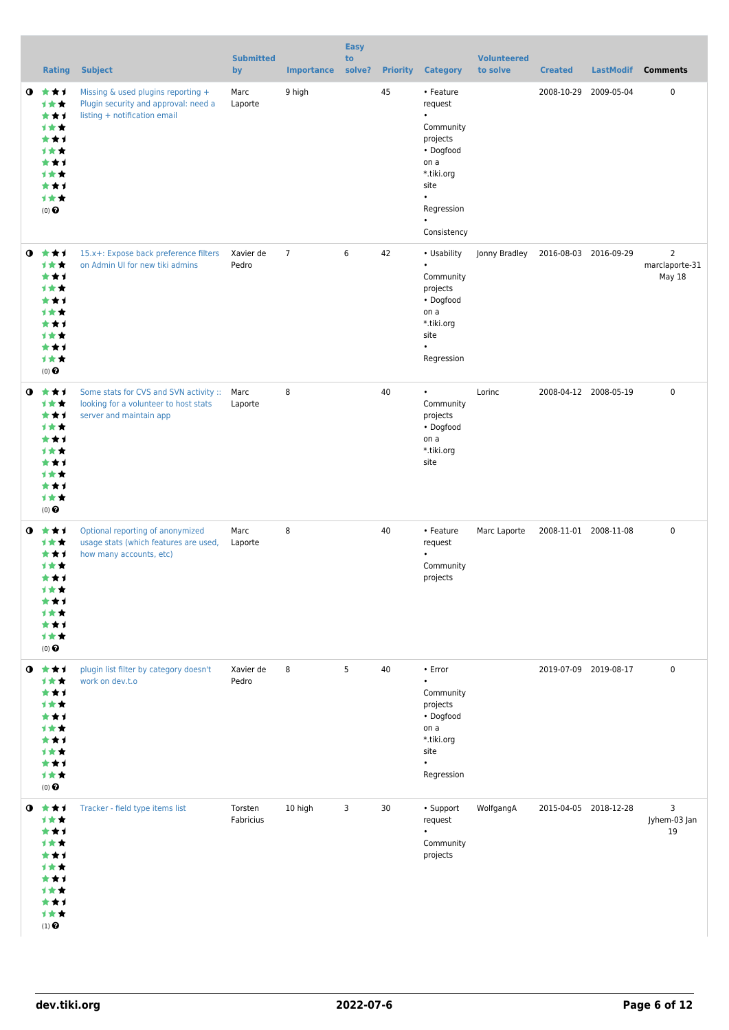|           | <b>Rating</b>                                                                                   | <b>Subject</b>                                                                                                  | <b>Submitted</b><br>by | <b>Importance</b> | <b>Easy</b><br>to<br>solve? |    | <b>Priority Category</b>                                                                                                                                     | <b>Volunteered</b><br>to solve | <b>Created</b> | <b>LastModif</b>      | <b>Comments</b>                            |
|-----------|-------------------------------------------------------------------------------------------------|-----------------------------------------------------------------------------------------------------------------|------------------------|-------------------|-----------------------------|----|--------------------------------------------------------------------------------------------------------------------------------------------------------------|--------------------------------|----------------|-----------------------|--------------------------------------------|
| $\bullet$ | ***<br>计女女<br>***<br>计女女<br>***<br>计女女<br>***<br>计女女<br>***<br>计女女<br>$(0)$ $\odot$             | Missing & used plugins reporting +<br>Plugin security and approval: need a<br>listing + notification email      | Marc<br>Laporte        | 9 high            |                             | 45 | • Feature<br>request<br>$\bullet$<br>Community<br>projects<br>• Dogfood<br>on a<br>*.tiki.org<br>site<br>$\bullet$<br>Regression<br>$\bullet$<br>Consistency |                                |                | 2008-10-29 2009-05-04 | 0                                          |
| $\bullet$ | ***<br><b>1**</b><br>***<br>计女女<br>***<br>计女女<br>★★1<br>1★★<br>***<br>计女女<br>$(0)$ $\odot$      | 15.x+: Expose back preference filters<br>on Admin UI for new tiki admins                                        | Xavier de<br>Pedro     | $\overline{7}$    | 6                           | 42 | • Usability<br>$\bullet$<br>Community<br>projects<br>• Dogfood<br>on a<br>*.tiki.org<br>site<br>$\bullet$<br>Regression                                      | Jonny Bradley                  |                | 2016-08-03 2016-09-29 | $\overline{2}$<br>marclaporte-31<br>May 18 |
| $\bullet$ | ***<br>计女女<br>***<br>计女女<br>***<br><b>1**</b><br>***<br>1★★<br>***<br>计女女<br>$(0)$ $\odot$      | Some stats for CVS and SVN activity :: Marc<br>looking for a volunteer to host stats<br>server and maintain app | Laporte                | 8                 |                             | 40 | $\bullet$<br>Community<br>projects<br>• Dogfood<br>on a<br>*.tiki.org<br>site                                                                                | Lorinc                         |                | 2008-04-12 2008-05-19 | 0                                          |
| $\bullet$ | ***<br>计女女<br>***<br>1 * *<br>***<br>计女女<br>***<br>1★★<br>★★1<br>计女女<br>$(0)$ $\odot$           | Optional reporting of anonymized<br>usage stats (which features are used,<br>how many accounts, etc)            | Marc<br>Laporte        | 8                 |                             | 40 | • Feature<br>request<br>$\bullet$<br>Community<br>projects                                                                                                   | Marc Laporte                   |                | 2008-11-01 2008-11-08 | 0                                          |
| $\bullet$ | ***<br>计女女<br>***<br>计女女<br>***<br>计女女<br>***<br>计女女<br>***<br>计女女<br>$(0)$ $\odot$             | plugin list filter by category doesn't<br>work on dev.t.o                                                       | Xavier de<br>Pedro     | 8                 | 5                           | 40 | • Error<br>$\bullet$<br>Community<br>projects<br>• Dogfood<br>on a<br>*.tiki.org<br>site<br>$\bullet$<br>Regression                                          |                                |                | 2019-07-09 2019-08-17 | $\mathbf 0$                                |
|           | $0$ $*$ $*$ $*$<br>***<br>***<br>计女女<br>***<br>计女女<br>***<br>1★★<br>***<br>计女女<br>$(1)$ $\odot$ | Tracker - field type items list                                                                                 | Torsten<br>Fabricius   | 10 high           | 3                           | 30 | • Support<br>request<br>$\bullet$<br>Community<br>projects                                                                                                   | WolfgangA                      |                | 2015-04-05 2018-12-28 | 3<br>Jyhem-03 Jan<br>19                    |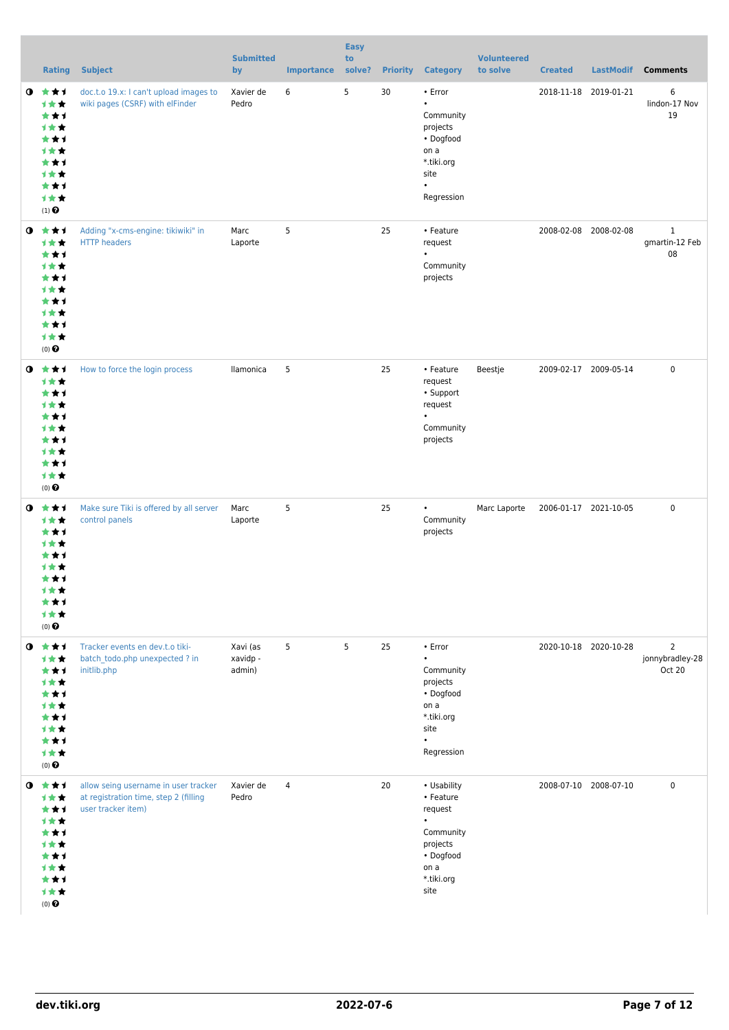|           | <b>Rating</b>                                                                                                 | <b>Subject</b>                                                                                      | <b>Submitted</b><br>by         | <b>Importance</b> | <b>Easy</b><br>to<br>solve? | <b>Priority</b> | <b>Category</b>                                                                                                      | <b>Volunteered</b><br>to solve | <b>Created</b>        | <b>LastModif</b>      | <b>Comments</b>                             |
|-----------|---------------------------------------------------------------------------------------------------------------|-----------------------------------------------------------------------------------------------------|--------------------------------|-------------------|-----------------------------|-----------------|----------------------------------------------------------------------------------------------------------------------|--------------------------------|-----------------------|-----------------------|---------------------------------------------|
| $\bullet$ | 食食す<br>计女女<br>***<br>计女女<br>***<br>计女女<br>***<br>计女女<br>***<br>计女女<br>$(1)$ <sup><math>\odot</math></sup>     | doc.t.o 19.x: I can't upload images to<br>wiki pages (CSRF) with elFinder                           | Xavier de<br>Pedro             | 6                 | 5                           | 30              | • Error<br>$\bullet$<br>Community<br>projects<br>• Dogfood<br>on a<br>*.tiki.org<br>site<br>$\bullet$<br>Regression  |                                | 2018-11-18 2019-01-21 |                       | 6<br>lindon-17 Nov<br>19                    |
|           | $0 \star \star \star$<br>1★★<br>***<br>计女女<br>***<br>计女女<br>***<br>计女女<br>***<br>计女女<br>$(0)$ $\odot$         | Adding "x-cms-engine: tikiwiki" in<br><b>HTTP</b> headers                                           | Marc<br>Laporte                | 5                 |                             | 25              | • Feature<br>request<br>$\bullet$<br>Community<br>projects                                                           |                                |                       | 2008-02-08 2008-02-08 | $\mathbf{1}$<br>gmartin-12 Feb<br>08        |
| $\bullet$ | 大大才<br>计女女<br>***<br>计女女<br>***<br>计女女<br>***<br>计女女<br>***<br>计女女<br>$(0)$ <sup>O</sup>                      | How to force the login process                                                                      | llamonica                      | 5                 |                             | 25              | • Feature<br>request<br>• Support<br>request<br>$\bullet$<br>Community<br>projects                                   | Beestje                        |                       | 2009-02-17 2009-05-14 | $\mathbf 0$                                 |
| $\bullet$ | 大女子<br>计女女<br>***<br><b>1**</b><br>***<br>1 * *<br>***<br>计女女<br>***<br>计女女<br>$(0)$ <sup>O</sup>             | Make sure Tiki is offered by all server<br>control panels                                           | Marc<br>Laporte                | 5                 |                             | 25              | $\bullet$<br>Community<br>projects                                                                                   | Marc Laporte                   | 2006-01-17 2021-10-05 |                       | $\mathbf 0$                                 |
| $\bullet$ | 大女子<br>计女女<br>***<br>计女女<br>***<br>计女女<br>***<br>计女女<br>***<br>计女女<br>$(0)$ $\odot$                           | Tracker events en dev.t.o tiki-<br>batch todo.php unexpected ? in<br>initlib.php                    | Xavi (as<br>xavidp -<br>admin) | 5                 | 5                           | 25              | • Error<br>$\bullet$<br>Community<br>projects<br>• Dogfood<br>on a<br>*.tiki.org<br>site<br>$\bullet$<br>Regression  |                                |                       | 2020-10-18 2020-10-28 | $\overline{2}$<br>jonnybradley-28<br>Oct 20 |
| $\bullet$ | ***<br>***<br>***<br>计女女<br>***<br>1 * *<br>***<br>1 * *<br>***<br>计女女<br>$(0)$ <sup><math>\odot</math></sup> | allow seing username in user tracker<br>at registration time, step 2 (filling<br>user tracker item) | Xavier de<br>Pedro             | $\overline{4}$    |                             | 20              | • Usability<br>• Feature<br>request<br>$\bullet$<br>Community<br>projects<br>• Dogfood<br>on a<br>*.tiki.org<br>site |                                |                       | 2008-07-10 2008-07-10 | 0                                           |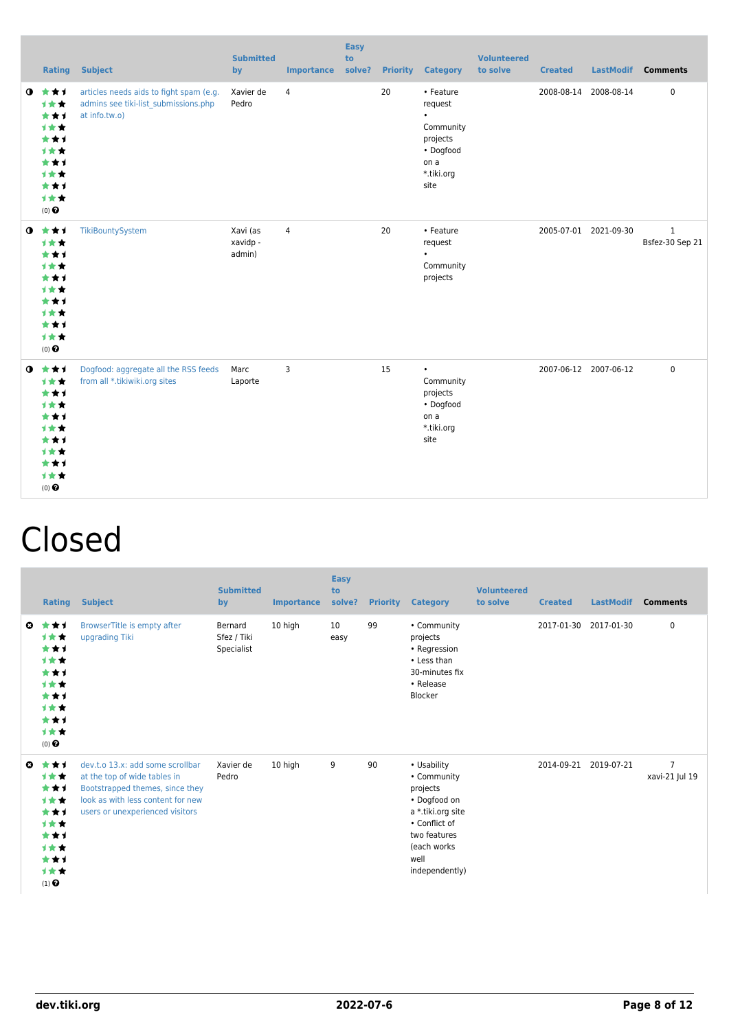|           |                                                                                                       | <b>Rating Subject</b>                                                                            | <b>Submitted</b><br>by         | <b>Importance</b> | <b>Easy</b><br>to<br>solve? |    | <b>Priority Category</b>                                                                              | <b>Volunteered</b><br>to solve | <b>Created</b> |                       | LastModif Comments              |
|-----------|-------------------------------------------------------------------------------------------------------|--------------------------------------------------------------------------------------------------|--------------------------------|-------------------|-----------------------------|----|-------------------------------------------------------------------------------------------------------|--------------------------------|----------------|-----------------------|---------------------------------|
| $\bullet$ | ***<br>1★★<br>***<br>***<br>***<br>1★★<br>***<br>1★★<br>***<br>1★★<br>$(0)$ $\Theta$                  | articles needs aids to fight spam (e.g.<br>admins see tiki-list submissions.php<br>at info.tw.o) | Xavier de<br>Pedro             | $\overline{4}$    |                             | 20 | • Feature<br>request<br>$\bullet$<br>Community<br>projects<br>• Dogfood<br>on a<br>*.tiki.org<br>site |                                |                | 2008-08-14 2008-08-14 | $\pmb{0}$                       |
|           | $0$ $\star\star\star$<br>1★★<br>***<br>1★★<br>***<br>1★★<br>***<br>1★★<br>***<br>1★★<br>$(0)$ $\odot$ | TikiBountySystem                                                                                 | Xavi (as<br>xavidp -<br>admin) | $\overline{4}$    |                             | 20 | • Feature<br>request<br>Community<br>projects                                                         |                                |                | 2005-07-01 2021-09-30 | $\mathbf{1}$<br>Bsfez-30 Sep 21 |
|           | $0 \star \star \star$<br>1★★<br>***<br>1★★<br>***<br>1★★<br>***<br>***<br>***<br>1★★<br>$(0)$ $\odot$ | Dogfood: aggregate all the RSS feeds<br>from all *.tikiwiki.org sites                            | Marc<br>Laporte                | 3                 |                             | 15 | $\bullet$<br>Community<br>projects<br>• Dogfood<br>on a<br>*.tiki.org<br>site                         |                                |                | 2007-06-12 2007-06-12 | $\mathbf 0$                     |

## Closed

|                       | <b>Rating</b>                                                                              | <b>Subject</b>                                                                                                                                                              | <b>Submitted</b><br>by               | Importance | <b>Easy</b><br>to<br>solve? | <b>Priority</b> | <b>Category</b>                                                                                                                                       | <b>Volunteered</b><br>to solve | <b>Created</b> | <b>LastModif</b> | <b>Comments</b>                  |
|-----------------------|--------------------------------------------------------------------------------------------|-----------------------------------------------------------------------------------------------------------------------------------------------------------------------------|--------------------------------------|------------|-----------------------------|-----------------|-------------------------------------------------------------------------------------------------------------------------------------------------------|--------------------------------|----------------|------------------|----------------------------------|
| $\boldsymbol{\omega}$ | ***<br>计女女<br>***<br>***<br>***<br><b>1**</b><br>***<br>计女女<br>***<br>计女女<br>$(0)$ $\odot$ | BrowserTitle is empty after<br>upgrading Tiki                                                                                                                               | Bernard<br>Sfez / Tiki<br>Specialist | 10 high    | 10<br>easy                  | 99              | • Community<br>projects<br>• Regression<br>• Less than<br>30-minutes fix<br>• Release<br>Blocker                                                      |                                | 2017-01-30     | 2017-01-30       | 0                                |
| O                     | ***<br>***<br>***<br><b>1**</b><br>***<br>***<br>***<br>***<br>***<br>***<br>$(1)$ $\odot$ | dev.t.o 13.x: add some scrollbar<br>at the top of wide tables in<br>Bootstrapped themes, since they<br>look as with less content for new<br>users or unexperienced visitors | Xavier de<br>Pedro                   | 10 high    | 9                           | 90              | • Usability<br>• Community<br>projects<br>• Dogfood on<br>a *.tiki.org site<br>• Conflict of<br>two features<br>(each works<br>well<br>independently) |                                | 2014-09-21     | 2019-07-21       | $\overline{7}$<br>xavi-21 Jul 19 |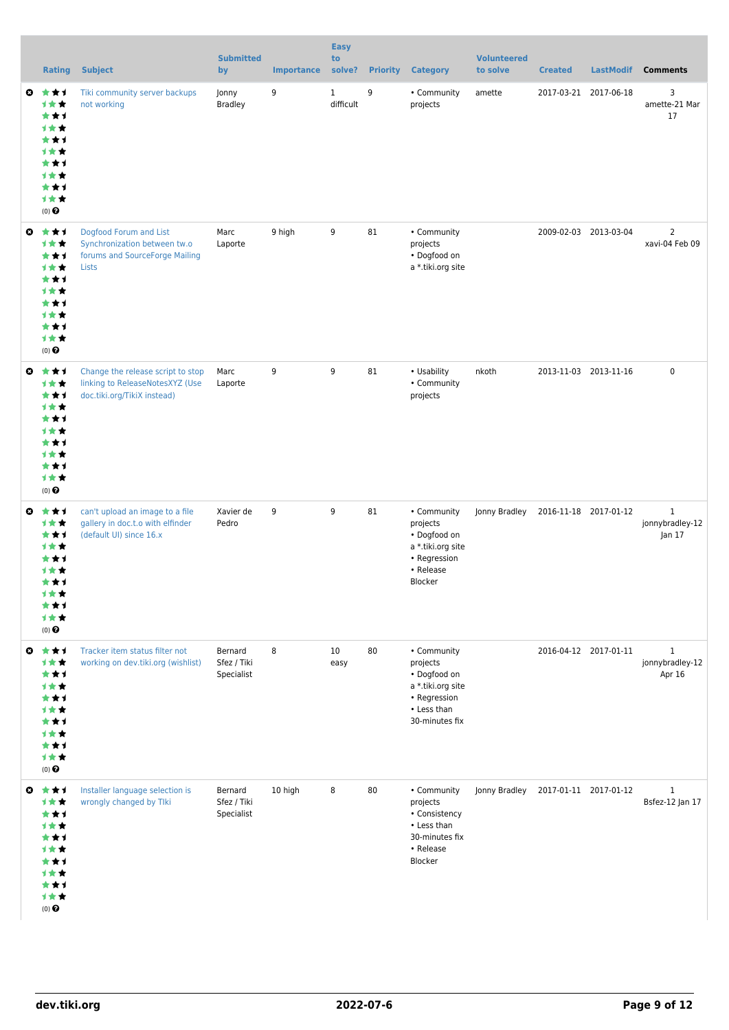|                       | <b>Rating</b>                                                                                       | <b>Subject</b>                                                                                      | <b>Submitted</b><br>by               | <b>Importance</b> | <b>Easy</b><br>to<br>solve? |    | <b>Priority Category</b>                                                                                      | <b>Volunteered</b><br>to solve      | <b>Created</b> | <b>LastModif</b>      | <b>Comments</b>                           |
|-----------------------|-----------------------------------------------------------------------------------------------------|-----------------------------------------------------------------------------------------------------|--------------------------------------|-------------------|-----------------------------|----|---------------------------------------------------------------------------------------------------------------|-------------------------------------|----------------|-----------------------|-------------------------------------------|
| ◒                     | ***<br>计女女<br>***<br>计女女<br>***<br>计女女<br>***<br>1★★<br>***<br>计女女<br>$(0)$ $\Theta$                | Tiki community server backups<br>not working                                                        | Jonny<br><b>Bradley</b>              | 9                 | $\mathbf{1}$<br>difficult   | 9  | • Community<br>projects                                                                                       | amette                              |                | 2017-03-21 2017-06-18 | 3<br>amette-21 Mar<br>17                  |
| ◒                     | ***<br>计女女<br>***<br>计女女<br>***<br>计女女<br>***<br>1★★<br>***<br>计女女<br>(0)                           | Dogfood Forum and List<br>Synchronization between tw.o<br>forums and SourceForge Mailing<br>Lists   | Marc<br>Laporte                      | 9 high            | 9                           | 81 | • Community<br>projects<br>• Dogfood on<br>a *.tiki.org site                                                  |                                     |                | 2009-02-03 2013-03-04 | $\overline{2}$<br>xavi-04 Feb 09          |
| ◒                     | ***<br>***<br>***<br>计女女<br>***<br><b>1★★</b><br>***<br>1★★<br>***<br>计女女<br>$(0)$ $\odot$          | Change the release script to stop<br>linking to ReleaseNotesXYZ (Use<br>doc.tiki.org/TikiX instead) | Marc<br>Laporte                      | 9                 | 9                           | 81 | • Usability<br>• Community<br>projects                                                                        | nkoth                               |                | 2013-11-03 2013-11-16 | $\pmb{0}$                                 |
| $\boldsymbol{\omega}$ | ***<br>计女女<br>***<br>计女女<br>***<br>计女女<br>***<br>计女女<br>★★1<br>1★★<br>$(0)$ $\odot$                 | can't upload an image to a file<br>gallery in doc.t.o with elfinder<br>(default UI) since 16.x      | Xavier de<br>Pedro                   | 9                 | 9                           | 81 | • Community<br>projects<br>• Dogfood on<br>a *.tiki.org site<br>• Regression<br>• Release<br>Blocker          | Jonny Bradley                       |                | 2016-11-18 2017-01-12 | $\mathbf{1}$<br>jonnybradley-12<br>Jan 17 |
| $\boldsymbol{\omega}$ | ***<br>计女女<br>***<br>计女女<br>***<br>计女女<br>***<br>计女女<br>***<br>计女女<br>(0)                           | Tracker item status filter not<br>working on dev.tiki.org (wishlist)                                | Bernard<br>Sfez / Tiki<br>Specialist | 8                 | 10<br>easy                  | 80 | • Community<br>projects<br>• Dogfood on<br>a *.tiki.org site<br>• Regression<br>• Less than<br>30-minutes fix |                                     |                | 2016-04-12 2017-01-11 | $\mathbf{1}$<br>jonnybradley-12<br>Apr 16 |
|                       | ◎ ★★1<br>计女女<br>***<br>计女女<br>***<br><b>1★★</b><br>***<br><b>1★★</b><br>***<br>计女女<br>$(0)$ $\odot$ | Installer language selection is<br>wrongly changed by Tlki                                          | Bernard<br>Sfez / Tiki<br>Specialist | 10 high           | 8                           | 80 | • Community<br>projects<br>• Consistency<br>• Less than<br>30-minutes fix<br>• Release<br>Blocker             | Jonny Bradley 2017-01-11 2017-01-12 |                |                       | $\mathbf{1}$<br>Bsfez-12 Jan 17           |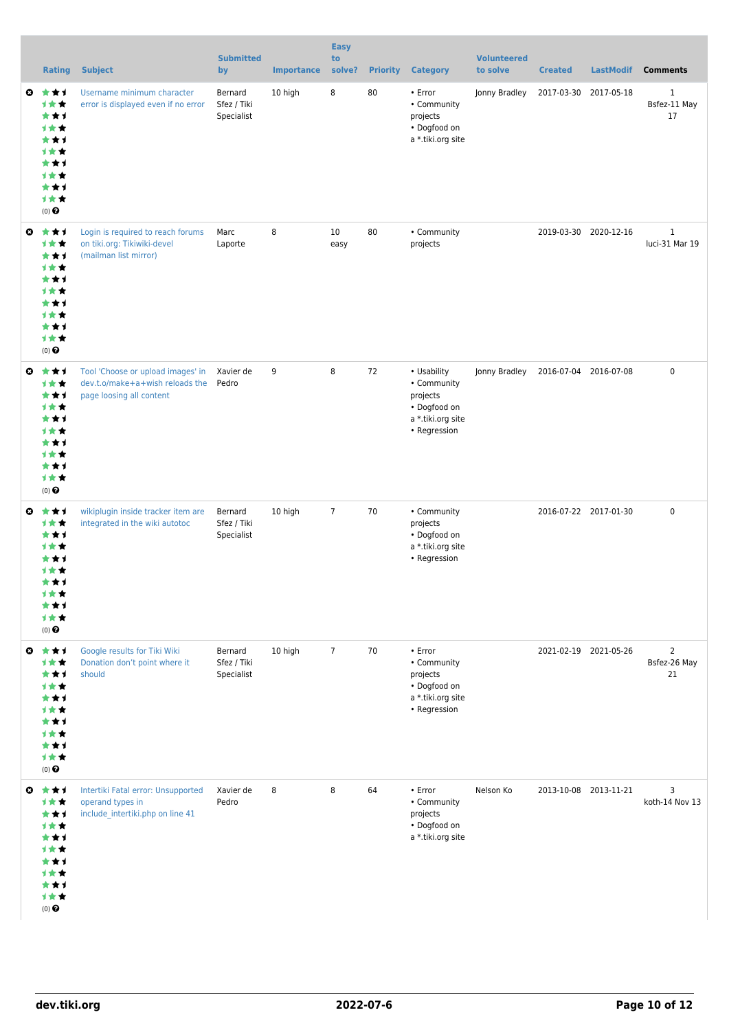|                       | <b>Rating</b>                                                                                     | <b>Subject</b>                                                                                   | <b>Submitted</b><br>by               | <b>Importance</b> | <b>Easy</b><br>to<br>solve? | <b>Priority</b> | <b>Category</b>                                                                               | <b>Volunteered</b><br>to solve | <b>Created</b>        | <b>LastModif</b>      | <b>Comments</b>                      |
|-----------------------|---------------------------------------------------------------------------------------------------|--------------------------------------------------------------------------------------------------|--------------------------------------|-------------------|-----------------------------|-----------------|-----------------------------------------------------------------------------------------------|--------------------------------|-----------------------|-----------------------|--------------------------------------|
| o.                    | ***<br>计女女<br>***<br>计女女<br>***<br>1★★<br>***<br>计女女<br>***<br>计女女<br>(0)                         | Username minimum character<br>error is displayed even if no error                                | Bernard<br>Sfez / Tiki<br>Specialist | 10 high           | 8                           | 80              | • Error<br>• Community<br>projects<br>• Dogfood on<br>a *.tiki.org site                       | Jonny Bradley                  | 2017-03-30            | 2017-05-18            | $\mathbf{1}$<br>Bsfez-11 May<br>17   |
| $\boldsymbol{\omega}$ | ***<br>***<br>***<br>计女女<br>***<br>计女女<br>***<br>计女女<br>***<br>计女女<br>(0)                         | Login is required to reach forums<br>on tiki.org: Tikiwiki-devel<br>(mailman list mirror)        | Marc<br>Laporte                      | 8                 | 10<br>easy                  | 80              | • Community<br>projects                                                                       |                                |                       | 2019-03-30 2020-12-16 | $\mathbf{1}$<br>luci-31 Mar 19       |
| $\boldsymbol{\omega}$ | ***<br>计女女<br>***<br>计女女<br>***<br><b>1★★</b><br>***<br><b>1★★</b><br>***<br>计女女<br>(0)           | Tool 'Choose or upload images' in<br>dev.t.o/make+a+wish reloads the<br>page loosing all content | Xavier de<br>Pedro                   | 9                 | 8                           | 72              | • Usability<br>• Community<br>projects<br>• Dogfood on<br>a *.tiki.org site<br>• Regression   | Jonny Bradley                  | 2016-07-04 2016-07-08 |                       | $\mathbf 0$                          |
| ◶                     | ***<br>计女女<br>***<br>计女女<br>***<br>计女女<br>***<br>计女女<br>***<br>计女女<br>$(0)$ $\pmb{\Theta}$        | wikiplugin inside tracker item are<br>integrated in the wiki autotoc                             | Bernard<br>Sfez / Tiki<br>Specialist | 10 high           | $\overline{7}$              | 70              | • Community<br>projects<br>• Dogfood on<br>a *.tiki.org site<br>• Regression                  |                                |                       | 2016-07-22 2017-01-30 | $\mathbf 0$                          |
| $\boldsymbol{\omega}$ | ***<br>计女女<br>***<br><b>1★★</b><br>***<br><b>1★★</b><br>***<br>计女女<br>***<br>计女女<br>$(0)$ $\odot$ | Google results for Tiki Wiki<br>Donation don't point where it<br>should                          | Bernard<br>Sfez / Tiki<br>Specialist | 10 high           | $\overline{7}$              | 70              | $\cdot$ Error<br>• Community<br>projects<br>• Dogfood on<br>a *.tiki.org site<br>• Regression |                                | 2021-02-19 2021-05-26 |                       | $\overline{2}$<br>Bsfez-26 May<br>21 |
|                       | ◎ ★★1<br>计女女<br>***<br>计女女<br>***<br>计女女<br>***<br>计女女<br>***<br>计女女<br>$(0)$ $\odot$             | Intertiki Fatal error: Unsupported<br>operand types in<br>include_intertiki.php on line 41       | Xavier de<br>Pedro                   | 8                 | 8                           | 64              | • Error<br>• Community<br>projects<br>• Dogfood on<br>a *.tiki.org site                       | Nelson Ko                      |                       | 2013-10-08 2013-11-21 | 3<br>koth-14 Nov 13                  |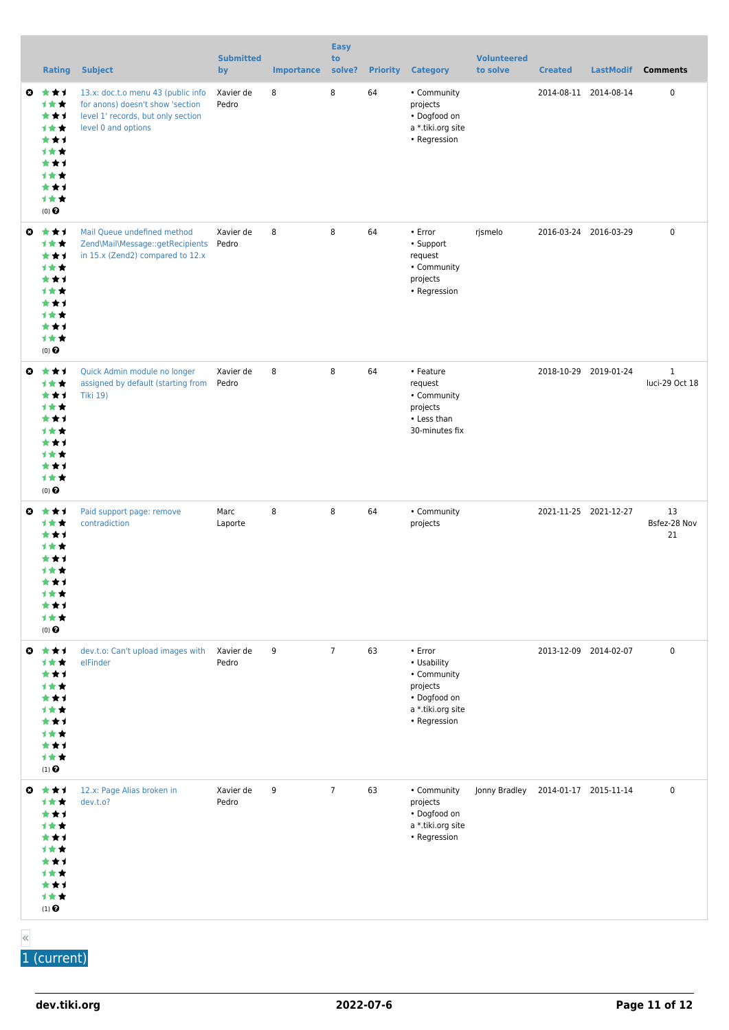|           | <b>Rating</b>                                                                                             | <b>Subject</b>                                                                                                                      | <b>Submitted</b><br>by | <b>Importance</b> | <b>Easy</b><br>to<br>solve? | <b>Priority</b> | <b>Category</b>                                                                                              | <b>Volunteered</b><br>to solve | <b>Created</b>        | <b>LastModif</b> | <b>Comments</b>                |
|-----------|-----------------------------------------------------------------------------------------------------------|-------------------------------------------------------------------------------------------------------------------------------------|------------------------|-------------------|-----------------------------|-----------------|--------------------------------------------------------------------------------------------------------------|--------------------------------|-----------------------|------------------|--------------------------------|
| ◒         | 大大士<br>1★★<br>***<br>1★★<br>***<br>1★★<br>***<br>计女女<br>***<br>1★★<br>$(0)$ <sup><math>\odot</math></sup> | 13.x: doc.t.o menu 43 (public info<br>for anons) doesn't show 'section<br>level 1' records, but only section<br>level 0 and options | Xavier de<br>Pedro     | 8                 | 8                           | 64              | • Community<br>projects<br>• Dogfood on<br>a *.tiki.org site<br>• Regression                                 |                                | 2014-08-11 2014-08-14 |                  | 0                              |
| O         | ***<br>1★★<br>***<br>1★★<br>***<br>计女女<br>***<br>计女女<br>***<br>1★★<br>$(0)$ <sup><math>\odot</math></sup> | Mail Queue undefined method<br>Zend\Mail\Message::getRecipients Pedro<br>in 15.x (Zend2) compared to 12.x                           | Xavier de              | 8                 | 8                           | 64              | $\cdot$ Error<br>• Support<br>request<br>• Community<br>projects<br>• Regression                             | rjsmelo                        | 2016-03-24 2016-03-29 |                  | $\pmb{0}$                      |
| $\bullet$ | ***<br>计女女<br>***<br>1★★<br>***<br>计女女<br>***<br>1★★<br>***<br>1★★<br>$(0)$ $\pmb{\Theta}$                | Quick Admin module no longer<br>assigned by default (starting from<br><b>Tiki 19)</b>                                               | Xavier de<br>Pedro     | 8                 | 8                           | 64              | • Feature<br>request<br>• Community<br>projects<br>• Less than<br>30-minutes fix                             |                                | 2018-10-29 2019-01-24 |                  | $\mathbf{1}$<br>luci-29 Oct 18 |
| O         | ***<br>计女女<br>***<br>1★★<br>***<br>计女女<br>***<br>计女女<br>***<br>1★★<br>$(0)$ $\pmb{\Theta}$                | Paid support page: remove<br>contradiction                                                                                          | Marc<br>Laporte        | 8                 | 8                           | 64              | • Community<br>projects                                                                                      |                                | 2021-11-25 2021-12-27 |                  | 13<br>Bsfez-28 Nov<br>21       |
| O         | ***<br>***<br>***<br>计女女<br>***<br>计女女<br>***<br>计女女<br>***<br>1★★<br>$(1)$ $\odot$                       | dev.t.o: Can't upload images with<br>elFinder                                                                                       | Xavier de<br>Pedro     | 9                 | $\overline{7}$              | 63              | $\cdot$ Error<br>• Usability<br>• Community<br>projects<br>• Dogfood on<br>a *.tiki.org site<br>• Regression |                                | 2013-12-09 2014-02-07 |                  | $\pmb{0}$                      |
|           | ◎ ★★1<br>1★★<br>***<br>1★★<br>***<br>计女女<br>***<br>计女女<br>***<br>计女女<br>$(1)$<br>$\pmb{\Theta}$           | 12.x: Page Alias broken in<br>dev.t.o?                                                                                              | Xavier de<br>Pedro     | 9                 | $\overline{7}$              | 63              | • Community<br>projects<br>• Dogfood on<br>a *.tiki.org site<br>• Regression                                 | Jonny Bradley                  | 2014-01-17 2015-11-14 |                  | 0                              |

«

1 (current)